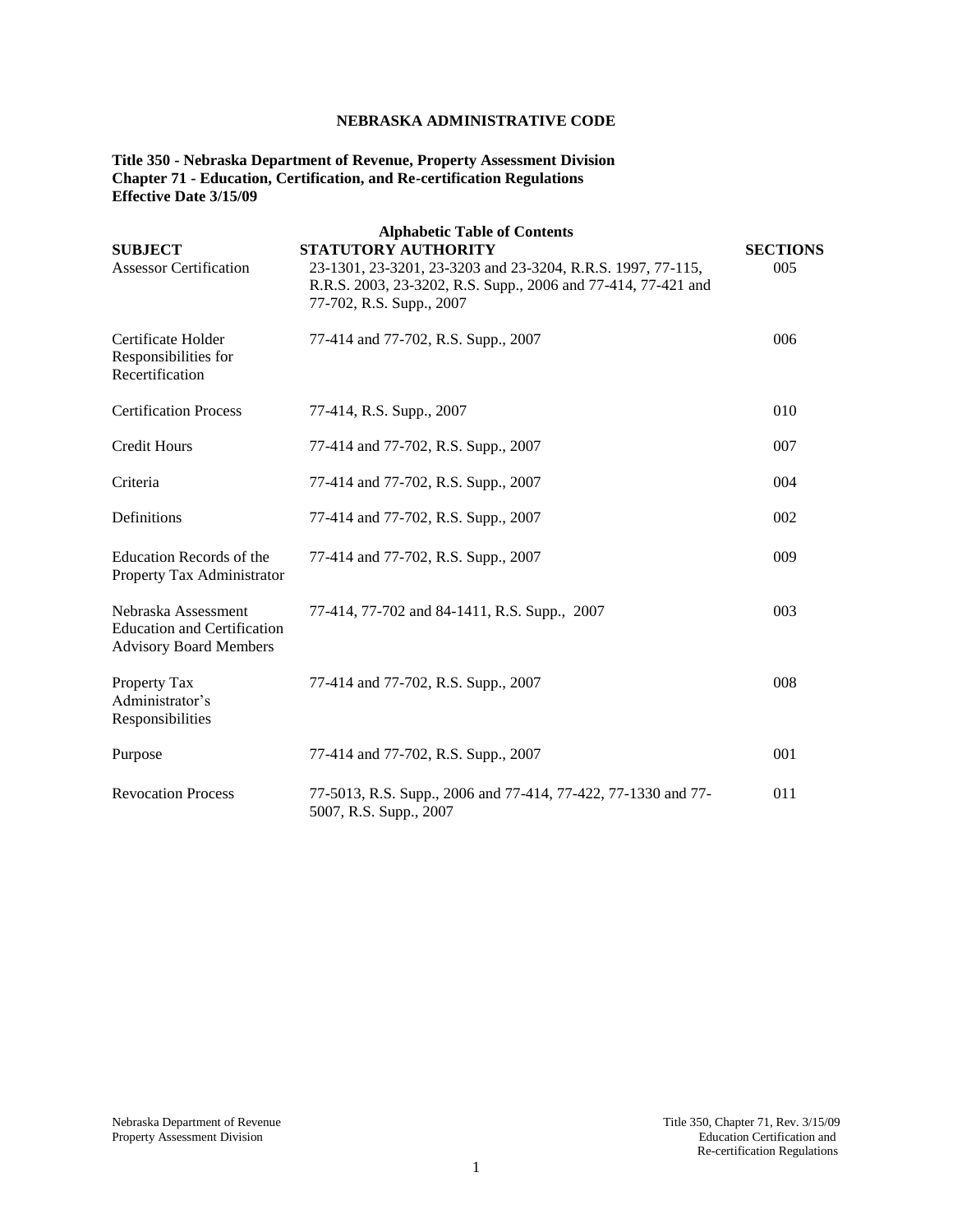# **NEBRASKA ADMINISTRATIVE CODE**

## **Title 350 - Nebraska Department of Revenue, Property Assessment Division Chapter 71 - Education, Certification, and Re-certification Regulations Effective Date 3/15/09**

| <b>SUBJECT</b><br><b>Assessor Certification</b>                                            | <b>Alphabetic Table of Contents</b><br><b>STATUTORY AUTHORITY</b><br>23-1301, 23-3201, 23-3203 and 23-3204, R.R.S. 1997, 77-115,<br>R.R.S. 2003, 23-3202, R.S. Supp., 2006 and 77-414, 77-421 and<br>77-702, R.S. Supp., 2007 | <b>SECTIONS</b><br>005 |
|--------------------------------------------------------------------------------------------|-------------------------------------------------------------------------------------------------------------------------------------------------------------------------------------------------------------------------------|------------------------|
| Certificate Holder<br>Responsibilities for<br>Recertification                              | 77-414 and 77-702, R.S. Supp., 2007                                                                                                                                                                                           | 006                    |
| <b>Certification Process</b>                                                               | 77-414, R.S. Supp., 2007                                                                                                                                                                                                      | 010                    |
| <b>Credit Hours</b>                                                                        | 77-414 and 77-702, R.S. Supp., 2007                                                                                                                                                                                           | 007                    |
| Criteria                                                                                   | 77-414 and 77-702, R.S. Supp., 2007                                                                                                                                                                                           | 004                    |
| Definitions                                                                                | 77-414 and 77-702, R.S. Supp., 2007                                                                                                                                                                                           | 002                    |
| Education Records of the<br>Property Tax Administrator                                     | 77-414 and 77-702, R.S. Supp., 2007                                                                                                                                                                                           | 009                    |
| Nebraska Assessment<br><b>Education and Certification</b><br><b>Advisory Board Members</b> | 77-414, 77-702 and 84-1411, R.S. Supp., 2007                                                                                                                                                                                  | 003                    |
| Property Tax<br>Administrator's<br>Responsibilities                                        | 77-414 and 77-702, R.S. Supp., 2007                                                                                                                                                                                           | 008                    |
| Purpose                                                                                    | 77-414 and 77-702, R.S. Supp., 2007                                                                                                                                                                                           | 001                    |
| <b>Revocation Process</b>                                                                  | 77-5013, R.S. Supp., 2006 and 77-414, 77-422, 77-1330 and 77-<br>5007, R.S. Supp., 2007                                                                                                                                       | 011                    |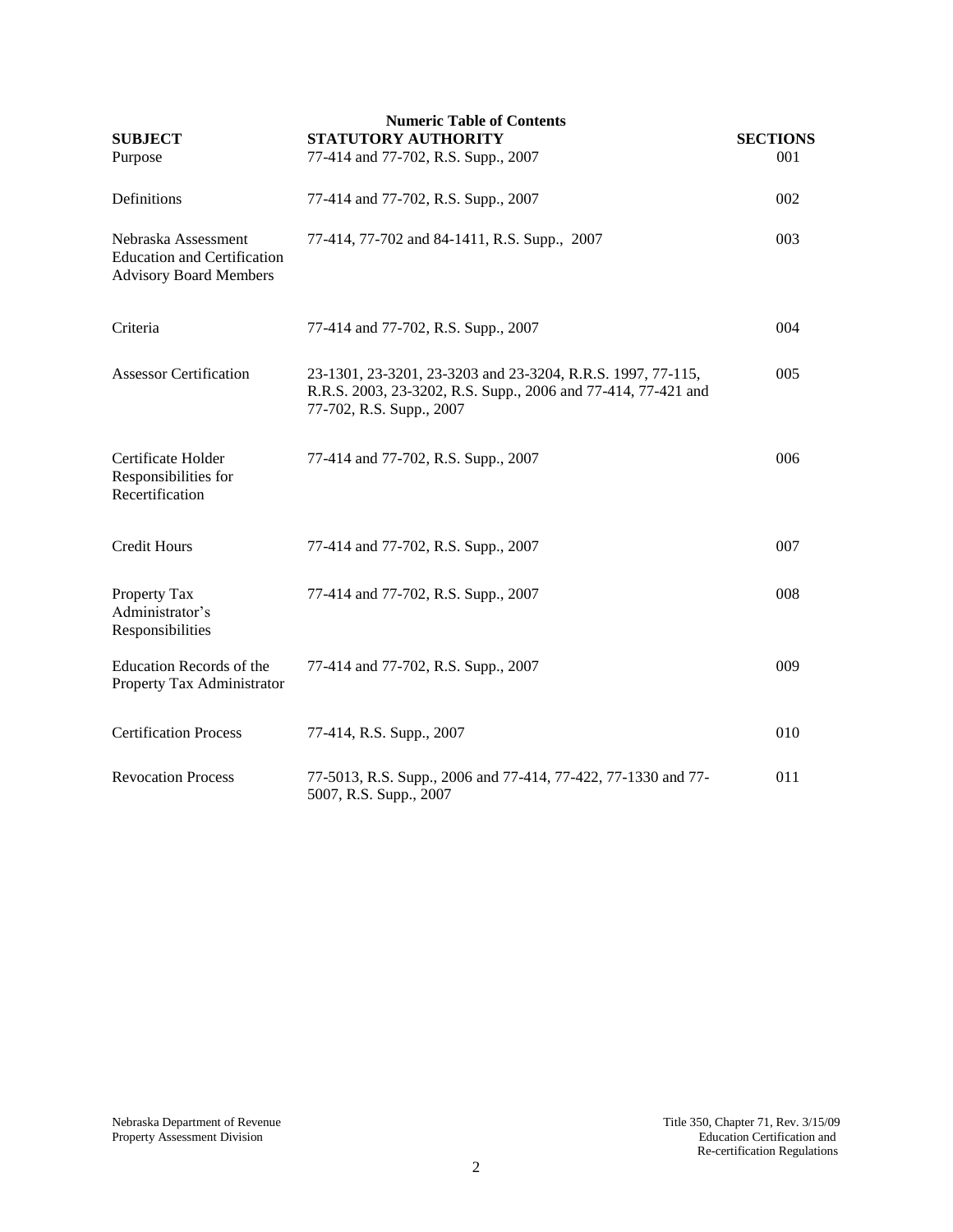| <b>Numeric Table of Contents</b><br>STATUTORY AUTHORITY<br><b>SUBJECT</b><br><b>SECTIONS</b> |                                                                                                                                                          |     |  |
|----------------------------------------------------------------------------------------------|----------------------------------------------------------------------------------------------------------------------------------------------------------|-----|--|
| Purpose                                                                                      | 77-414 and 77-702, R.S. Supp., 2007                                                                                                                      | 001 |  |
| Definitions                                                                                  | 77-414 and 77-702, R.S. Supp., 2007                                                                                                                      | 002 |  |
| Nebraska Assessment<br><b>Education and Certification</b><br><b>Advisory Board Members</b>   | 77-414, 77-702 and 84-1411, R.S. Supp., 2007                                                                                                             | 003 |  |
| Criteria                                                                                     | 77-414 and 77-702, R.S. Supp., 2007                                                                                                                      | 004 |  |
| <b>Assessor Certification</b>                                                                | 23-1301, 23-3201, 23-3203 and 23-3204, R.R.S. 1997, 77-115,<br>R.R.S. 2003, 23-3202, R.S. Supp., 2006 and 77-414, 77-421 and<br>77-702, R.S. Supp., 2007 | 005 |  |
| Certificate Holder<br>Responsibilities for<br>Recertification                                | 77-414 and 77-702, R.S. Supp., 2007                                                                                                                      | 006 |  |
| <b>Credit Hours</b>                                                                          | 77-414 and 77-702, R.S. Supp., 2007                                                                                                                      | 007 |  |
| Property Tax<br>Administrator's<br>Responsibilities                                          | 77-414 and 77-702, R.S. Supp., 2007                                                                                                                      | 008 |  |
| Education Records of the<br>Property Tax Administrator                                       | 77-414 and 77-702, R.S. Supp., 2007                                                                                                                      | 009 |  |
| <b>Certification Process</b>                                                                 | 77-414, R.S. Supp., 2007                                                                                                                                 | 010 |  |
| <b>Revocation Process</b>                                                                    | 77-5013, R.S. Supp., 2006 and 77-414, 77-422, 77-1330 and 77-<br>5007, R.S. Supp., 2007                                                                  | 011 |  |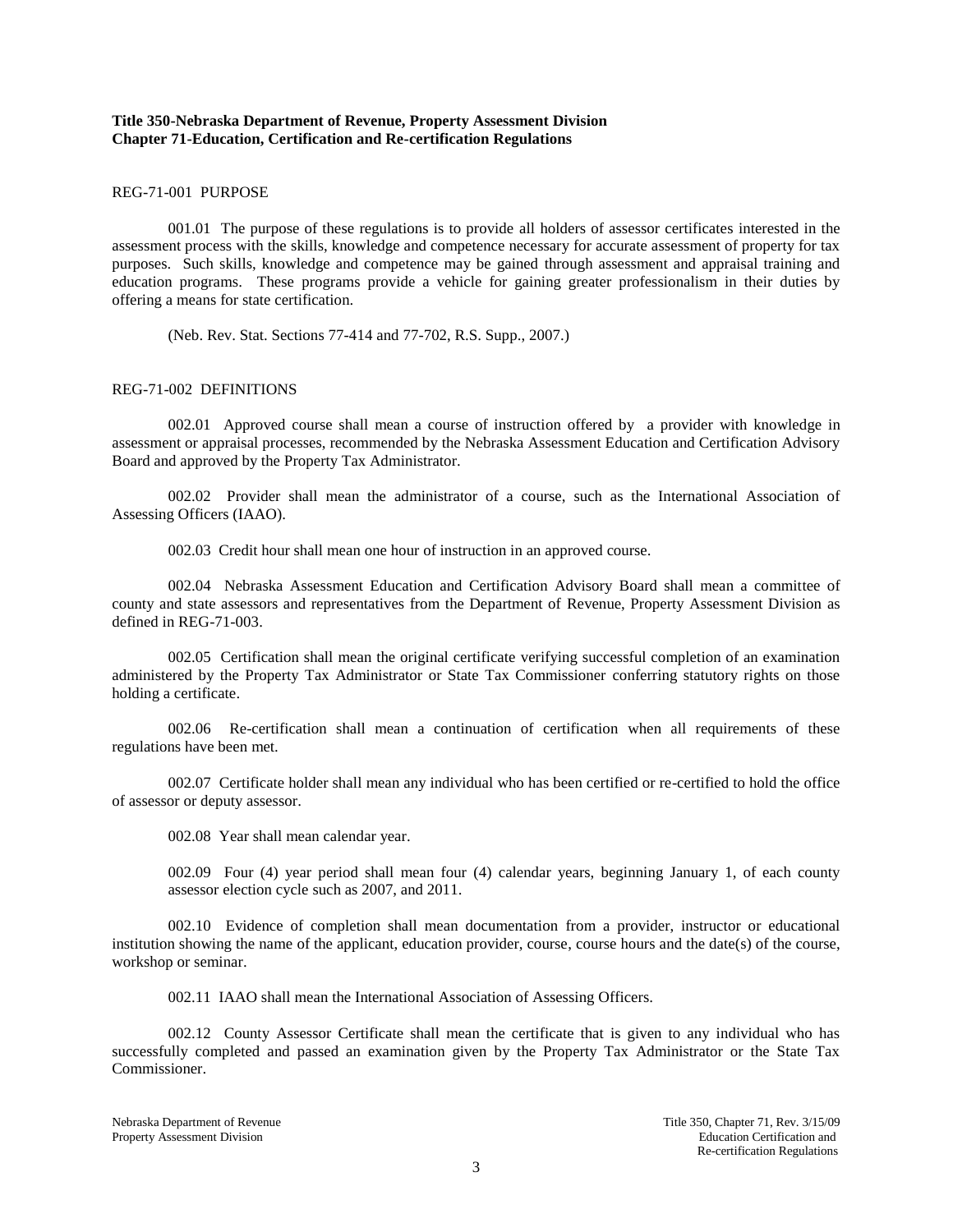## **Title 350-Nebraska Department of Revenue, Property Assessment Division Chapter 71-Education, Certification and Re-certification Regulations**

#### REG-71-001 PURPOSE

001.01 The purpose of these regulations is to provide all holders of assessor certificates interested in the assessment process with the skills, knowledge and competence necessary for accurate assessment of property for tax purposes. Such skills, knowledge and competence may be gained through assessment and appraisal training and education programs. These programs provide a vehicle for gaining greater professionalism in their duties by offering a means for state certification.

(Neb. Rev. Stat. Sections 77-414 and 77-702, R.S. Supp., 2007.)

### REG-71-002 DEFINITIONS

002.01 Approved course shall mean a course of instruction offered by a provider with knowledge in assessment or appraisal processes, recommended by the Nebraska Assessment Education and Certification Advisory Board and approved by the Property Tax Administrator.

002.02 Provider shall mean the administrator of a course, such as the International Association of Assessing Officers (IAAO).

002.03 Credit hour shall mean one hour of instruction in an approved course.

002.04 Nebraska Assessment Education and Certification Advisory Board shall mean a committee of county and state assessors and representatives from the Department of Revenue, Property Assessment Division as defined in REG-71-003.

002.05 Certification shall mean the original certificate verifying successful completion of an examination administered by the Property Tax Administrator or State Tax Commissioner conferring statutory rights on those holding a certificate.

002.06 Re-certification shall mean a continuation of certification when all requirements of these regulations have been met.

002.07 Certificate holder shall mean any individual who has been certified or re-certified to hold the office of assessor or deputy assessor.

002.08 Year shall mean calendar year.

002.09 Four (4) year period shall mean four (4) calendar years, beginning January 1, of each county assessor election cycle such as 2007, and 2011.

002.10 Evidence of completion shall mean documentation from a provider, instructor or educational institution showing the name of the applicant, education provider, course, course hours and the date(s) of the course, workshop or seminar.

002.11 IAAO shall mean the International Association of Assessing Officers.

002.12 County Assessor Certificate shall mean the certificate that is given to any individual who has successfully completed and passed an examination given by the Property Tax Administrator or the State Tax Commissioner.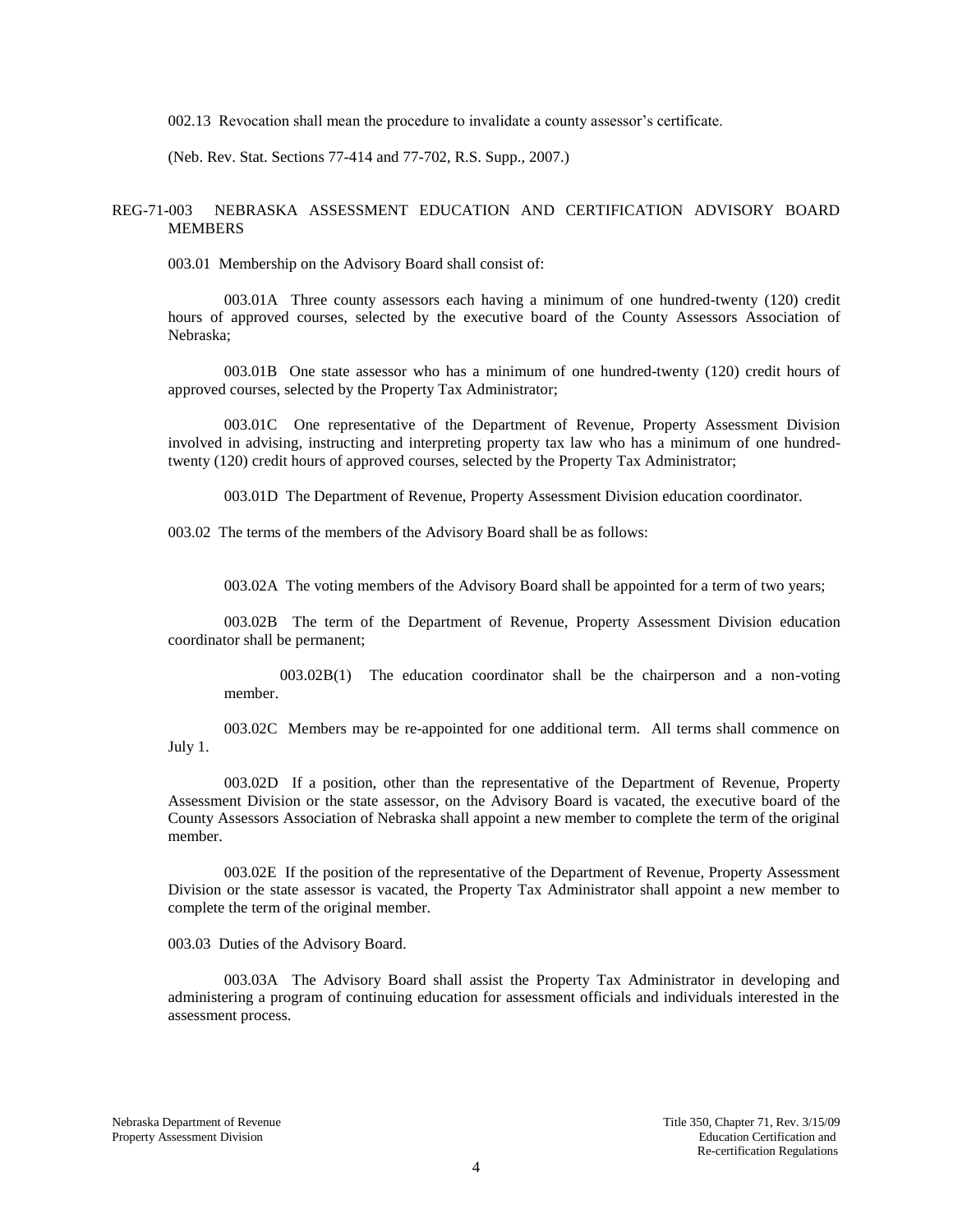002.13 Revocation shall mean the procedure to invalidate a county assessor's certificate.

(Neb. Rev. Stat. Sections 77-414 and 77-702, R.S. Supp., 2007.)

### REG-71-003 NEBRASKA ASSESSMENT EDUCATION AND CERTIFICATION ADVISORY BOARD MEMBERS

003.01 Membership on the Advisory Board shall consist of:

003.01A Three county assessors each having a minimum of one hundred-twenty (120) credit hours of approved courses, selected by the executive board of the County Assessors Association of Nebraska;

003.01B One state assessor who has a minimum of one hundred-twenty (120) credit hours of approved courses, selected by the Property Tax Administrator;

003.01C One representative of the Department of Revenue, Property Assessment Division involved in advising, instructing and interpreting property tax law who has a minimum of one hundredtwenty (120) credit hours of approved courses, selected by the Property Tax Administrator;

003.01D The Department of Revenue, Property Assessment Division education coordinator.

003.02 The terms of the members of the Advisory Board shall be as follows:

003.02A The voting members of the Advisory Board shall be appointed for a term of two years;

003.02B The term of the Department of Revenue, Property Assessment Division education coordinator shall be permanent;

003.02B(1) The education coordinator shall be the chairperson and a non-voting member.

003.02C Members may be re-appointed for one additional term. All terms shall commence on July 1.

003.02D If a position, other than the representative of the Department of Revenue, Property Assessment Division or the state assessor, on the Advisory Board is vacated, the executive board of the County Assessors Association of Nebraska shall appoint a new member to complete the term of the original member.

003.02E If the position of the representative of the Department of Revenue, Property Assessment Division or the state assessor is vacated, the Property Tax Administrator shall appoint a new member to complete the term of the original member.

003.03 Duties of the Advisory Board.

003.03A The Advisory Board shall assist the Property Tax Administrator in developing and administering a program of continuing education for assessment officials and individuals interested in the assessment process.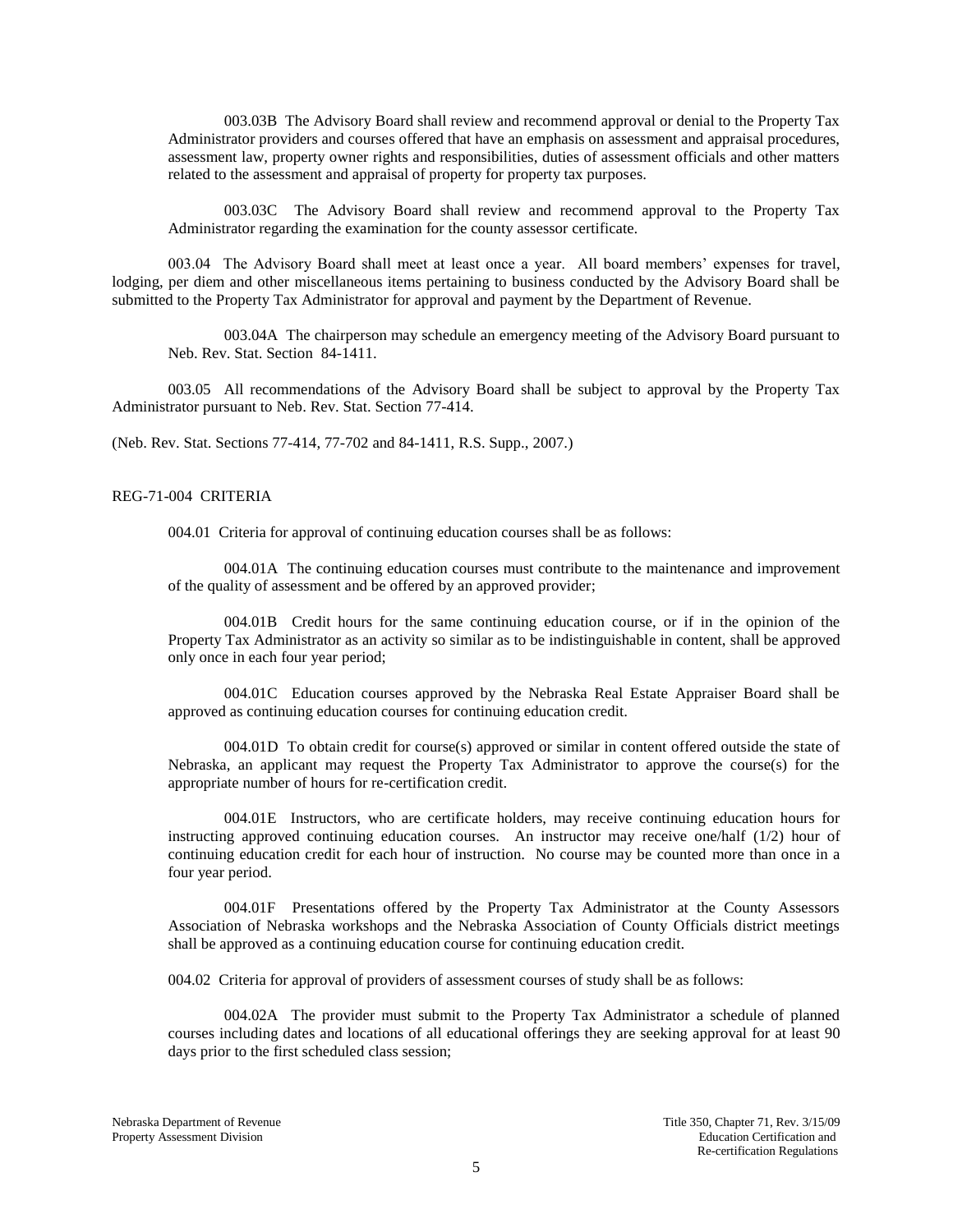003.03B The Advisory Board shall review and recommend approval or denial to the Property Tax Administrator providers and courses offered that have an emphasis on assessment and appraisal procedures, assessment law, property owner rights and responsibilities, duties of assessment officials and other matters related to the assessment and appraisal of property for property tax purposes.

003.03C The Advisory Board shall review and recommend approval to the Property Tax Administrator regarding the examination for the county assessor certificate.

003.04 The Advisory Board shall meet at least once a year. All board members' expenses for travel, lodging, per diem and other miscellaneous items pertaining to business conducted by the Advisory Board shall be submitted to the Property Tax Administrator for approval and payment by the Department of Revenue.

003.04A The chairperson may schedule an emergency meeting of the Advisory Board pursuant to Neb. Rev. Stat. Section 84-1411.

003.05 All recommendations of the Advisory Board shall be subject to approval by the Property Tax Administrator pursuant to Neb. Rev. Stat. Section 77-414.

(Neb. Rev. Stat. Sections 77-414, 77-702 and 84-1411, R.S. Supp., 2007.)

### REG-71-004 CRITERIA

004.01 Criteria for approval of continuing education courses shall be as follows:

004.01A The continuing education courses must contribute to the maintenance and improvement of the quality of assessment and be offered by an approved provider;

004.01B Credit hours for the same continuing education course, or if in the opinion of the Property Tax Administrator as an activity so similar as to be indistinguishable in content, shall be approved only once in each four year period;

004.01C Education courses approved by the Nebraska Real Estate Appraiser Board shall be approved as continuing education courses for continuing education credit.

004.01D To obtain credit for course(s) approved or similar in content offered outside the state of Nebraska, an applicant may request the Property Tax Administrator to approve the course(s) for the appropriate number of hours for re-certification credit.

004.01E Instructors, who are certificate holders, may receive continuing education hours for instructing approved continuing education courses. An instructor may receive one/half (1/2) hour of continuing education credit for each hour of instruction. No course may be counted more than once in a four year period.

004.01F Presentations offered by the Property Tax Administrator at the County Assessors Association of Nebraska workshops and the Nebraska Association of County Officials district meetings shall be approved as a continuing education course for continuing education credit.

004.02 Criteria for approval of providers of assessment courses of study shall be as follows:

004.02A The provider must submit to the Property Tax Administrator a schedule of planned courses including dates and locations of all educational offerings they are seeking approval for at least 90 days prior to the first scheduled class session;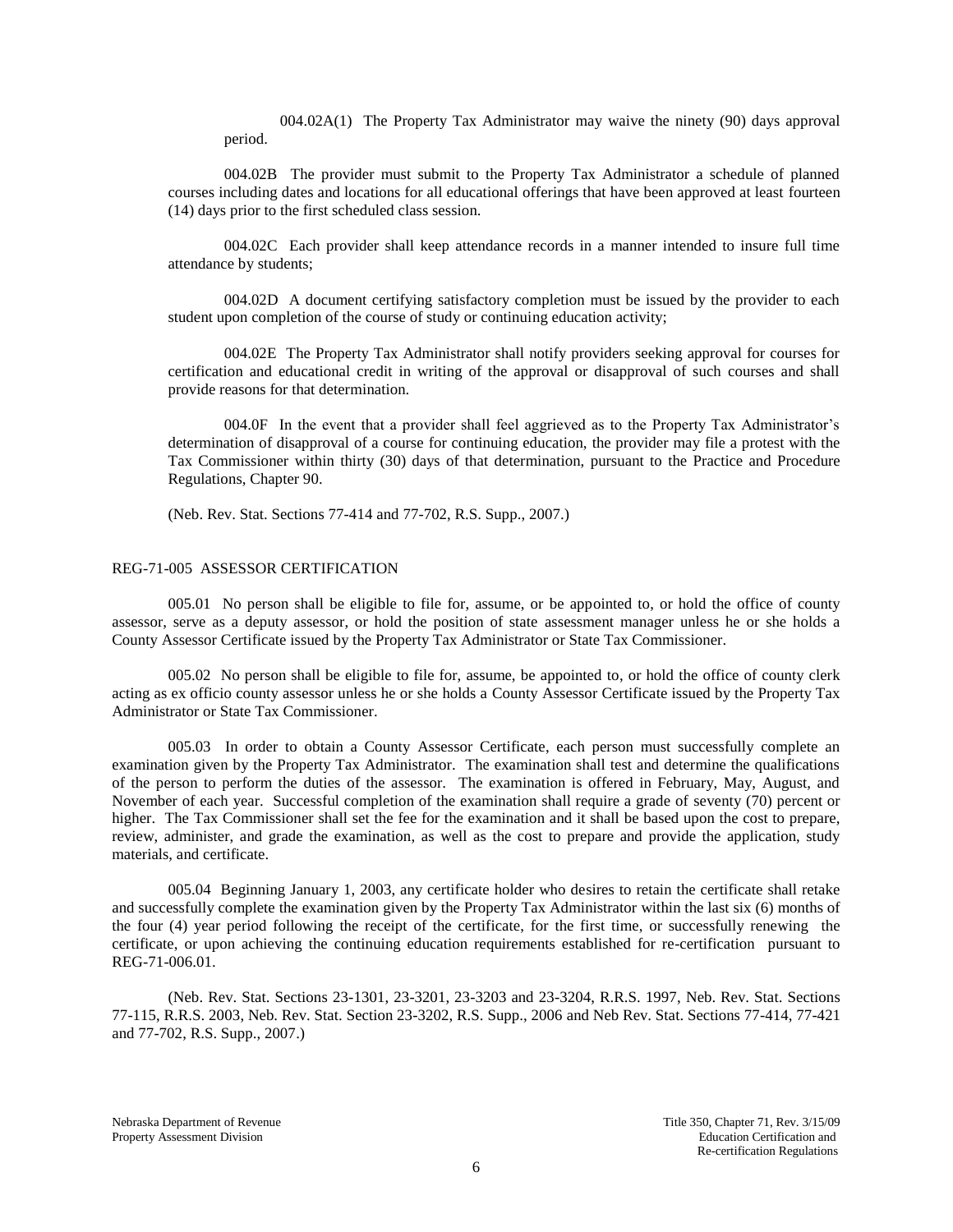004.02A(1) The Property Tax Administrator may waive the ninety (90) days approval period.

004.02B The provider must submit to the Property Tax Administrator a schedule of planned courses including dates and locations for all educational offerings that have been approved at least fourteen (14) days prior to the first scheduled class session.

004.02C Each provider shall keep attendance records in a manner intended to insure full time attendance by students;

004.02D A document certifying satisfactory completion must be issued by the provider to each student upon completion of the course of study or continuing education activity;

004.02E The Property Tax Administrator shall notify providers seeking approval for courses for certification and educational credit in writing of the approval or disapproval of such courses and shall provide reasons for that determination.

004.0F In the event that a provider shall feel aggrieved as to the Property Tax Administrator's determination of disapproval of a course for continuing education, the provider may file a protest with the Tax Commissioner within thirty (30) days of that determination, pursuant to the Practice and Procedure Regulations, Chapter 90.

(Neb. Rev. Stat. Sections 77-414 and 77-702, R.S. Supp., 2007.)

### REG-71-005 ASSESSOR CERTIFICATION

005.01 No person shall be eligible to file for, assume, or be appointed to, or hold the office of county assessor, serve as a deputy assessor, or hold the position of state assessment manager unless he or she holds a County Assessor Certificate issued by the Property Tax Administrator or State Tax Commissioner.

005.02 No person shall be eligible to file for, assume, be appointed to, or hold the office of county clerk acting as ex officio county assessor unless he or she holds a County Assessor Certificate issued by the Property Tax Administrator or State Tax Commissioner.

005.03 In order to obtain a County Assessor Certificate, each person must successfully complete an examination given by the Property Tax Administrator. The examination shall test and determine the qualifications of the person to perform the duties of the assessor. The examination is offered in February, May, August, and November of each year. Successful completion of the examination shall require a grade of seventy (70) percent or higher. The Tax Commissioner shall set the fee for the examination and it shall be based upon the cost to prepare, review, administer, and grade the examination, as well as the cost to prepare and provide the application, study materials, and certificate.

005.04 Beginning January 1, 2003, any certificate holder who desires to retain the certificate shall retake and successfully complete the examination given by the Property Tax Administrator within the last six (6) months of the four (4) year period following the receipt of the certificate, for the first time, or successfully renewing the certificate, or upon achieving the continuing education requirements established for re-certification pursuant to REG-71-006.01.

(Neb. Rev. Stat. Sections 23-1301, 23-3201, 23-3203 and 23-3204, R.R.S. 1997, Neb. Rev. Stat. Sections 77-115, R.R.S. 2003, Neb. Rev. Stat. Section 23-3202, R.S. Supp., 2006 and Neb Rev. Stat. Sections 77-414, 77-421 and 77-702, R.S. Supp., 2007.)

Nebraska Department of Revenue Title 350, Chapter 71, Rev. 3/15/09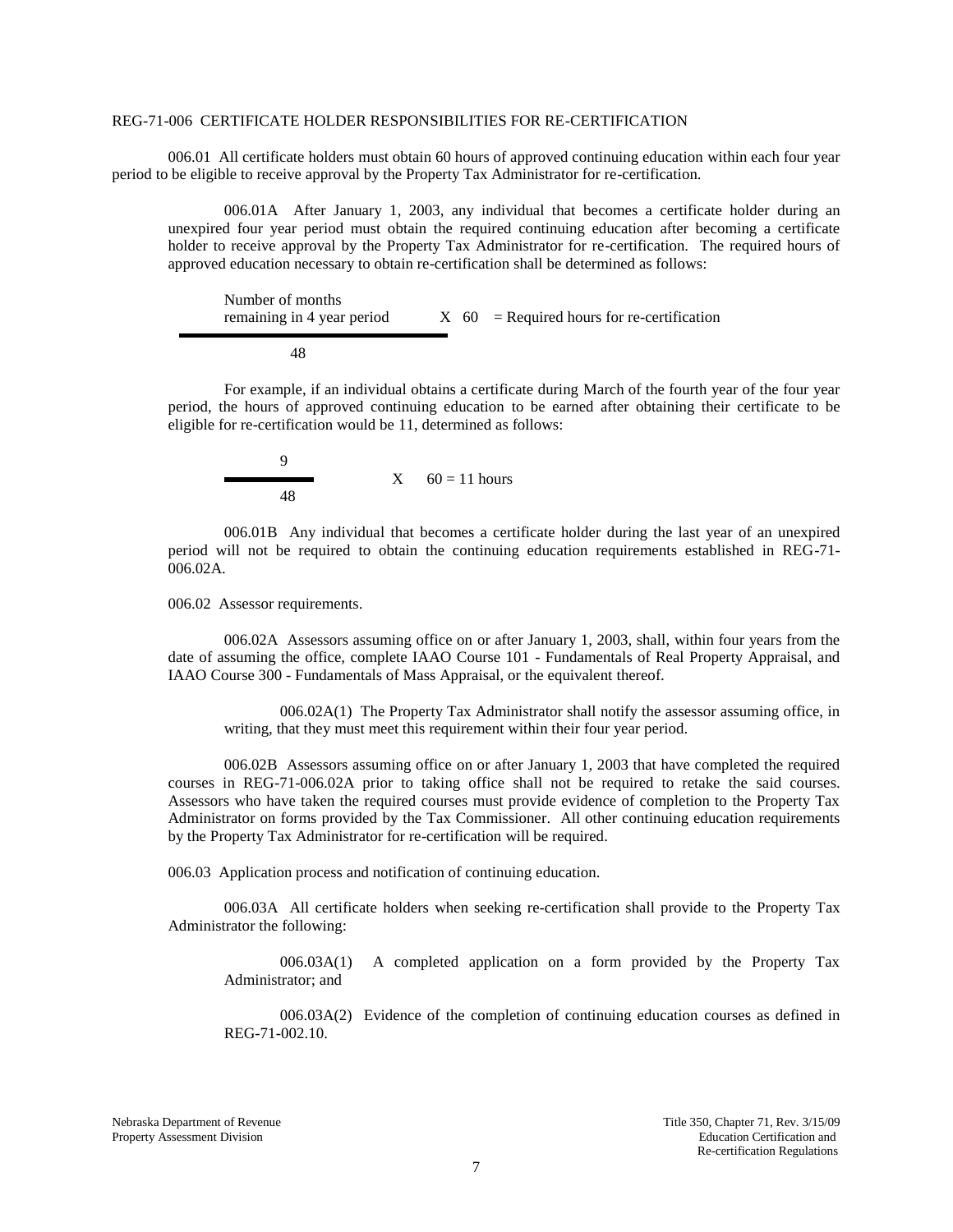#### REG-71-006 CERTIFICATE HOLDER RESPONSIBILITIES FOR RE-CERTIFICATION

006.01 All certificate holders must obtain 60 hours of approved continuing education within each four year period to be eligible to receive approval by the Property Tax Administrator for re-certification.

006.01A After January 1, 2003, any individual that becomes a certificate holder during an unexpired four year period must obtain the required continuing education after becoming a certificate holder to receive approval by the Property Tax Administrator for re-certification. The required hours of approved education necessary to obtain re-certification shall be determined as follows:

Number of months remaining in 4 year period  $X = 60$  = Required hours for re-certification

48

For example, if an individual obtains a certificate during March of the fourth year of the four year period, the hours of approved continuing education to be earned after obtaining their certificate to be eligible for re-certification would be 11, determined as follows:

$$
60 = 11 \text{ hours}
$$

006.01B Any individual that becomes a certificate holder during the last year of an unexpired period will not be required to obtain the continuing education requirements established in REG-71- 006.02A.

006.02 Assessor requirements.

 $\blacksquare$ 

006.02A Assessors assuming office on or after January 1, 2003, shall, within four years from the date of assuming the office, complete IAAO Course 101 - Fundamentals of Real Property Appraisal, and IAAO Course 300 - Fundamentals of Mass Appraisal, or the equivalent thereof.

006.02A(1) The Property Tax Administrator shall notify the assessor assuming office, in writing, that they must meet this requirement within their four year period.

006.02B Assessors assuming office on or after January 1, 2003 that have completed the required courses in REG-71-006.02A prior to taking office shall not be required to retake the said courses. Assessors who have taken the required courses must provide evidence of completion to the Property Tax Administrator on forms provided by the Tax Commissioner. All other continuing education requirements by the Property Tax Administrator for re-certification will be required.

006.03 Application process and notification of continuing education.

006.03A All certificate holders when seeking re-certification shall provide to the Property Tax Administrator the following:

006.03A(1) A completed application on a form provided by the Property Tax Administrator; and

006.03A(2) Evidence of the completion of continuing education courses as defined in REG-71-002.10.

Nebraska Department of Revenue Title 350, Chapter 71, Rev. 3/15/09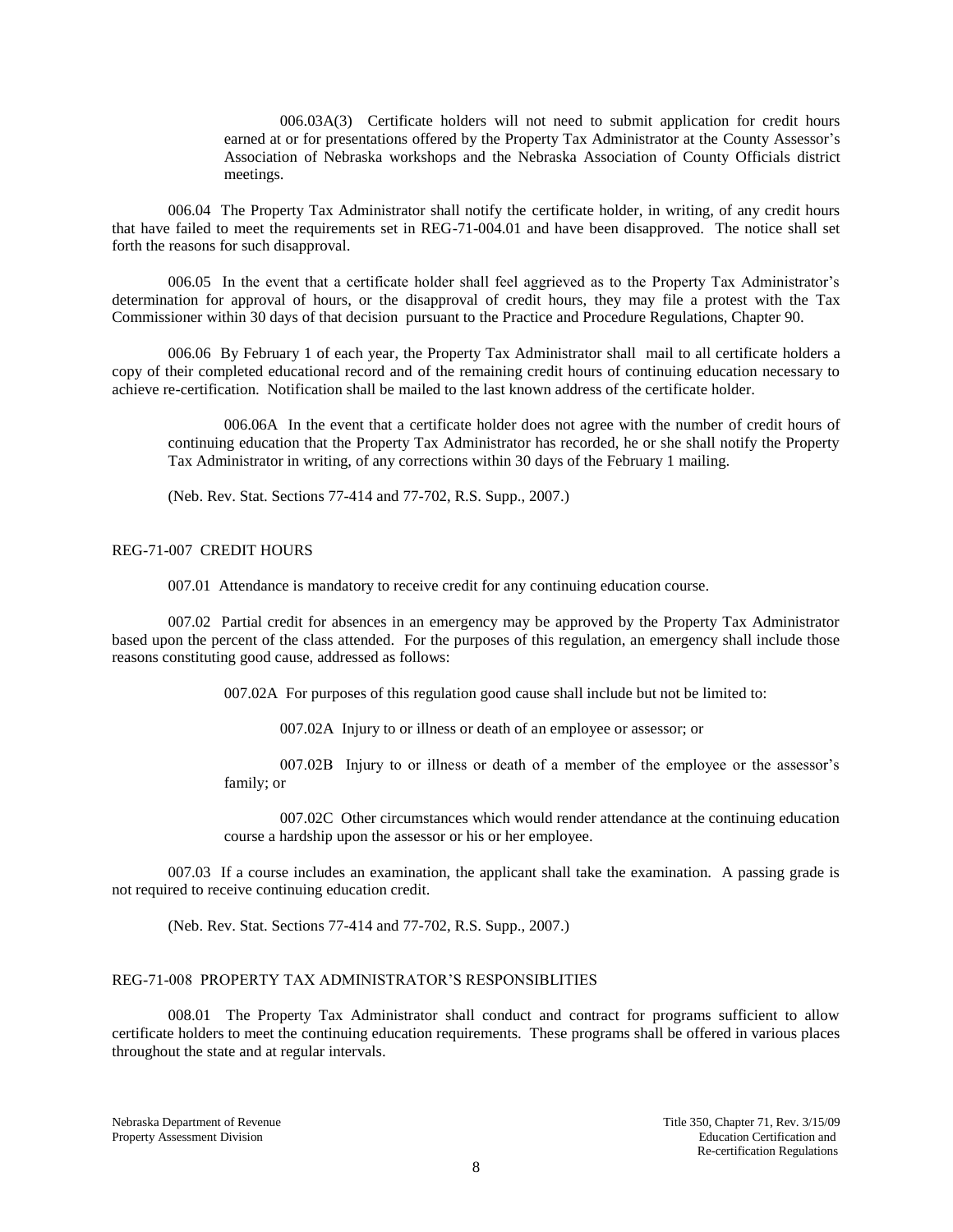006.03A(3) Certificate holders will not need to submit application for credit hours earned at or for presentations offered by the Property Tax Administrator at the County Assessor's Association of Nebraska workshops and the Nebraska Association of County Officials district meetings.

006.04 The Property Tax Administrator shall notify the certificate holder, in writing, of any credit hours that have failed to meet the requirements set in REG-71-004.01 and have been disapproved. The notice shall set forth the reasons for such disapproval.

006.05 In the event that a certificate holder shall feel aggrieved as to the Property Tax Administrator's determination for approval of hours, or the disapproval of credit hours, they may file a protest with the Tax Commissioner within 30 days of that decision pursuant to the Practice and Procedure Regulations, Chapter 90.

006.06 By February 1 of each year, the Property Tax Administrator shall mail to all certificate holders a copy of their completed educational record and of the remaining credit hours of continuing education necessary to achieve re-certification. Notification shall be mailed to the last known address of the certificate holder.

006.06A In the event that a certificate holder does not agree with the number of credit hours of continuing education that the Property Tax Administrator has recorded, he or she shall notify the Property Tax Administrator in writing, of any corrections within 30 days of the February 1 mailing.

(Neb. Rev. Stat. Sections 77-414 and 77-702, R.S. Supp., 2007.)

#### REG-71-007 CREDIT HOURS

007.01 Attendance is mandatory to receive credit for any continuing education course.

007.02 Partial credit for absences in an emergency may be approved by the Property Tax Administrator based upon the percent of the class attended. For the purposes of this regulation, an emergency shall include those reasons constituting good cause, addressed as follows:

007.02A For purposes of this regulation good cause shall include but not be limited to:

007.02A Injury to or illness or death of an employee or assessor; or

007.02B Injury to or illness or death of a member of the employee or the assessor's family; or

007.02C Other circumstances which would render attendance at the continuing education course a hardship upon the assessor or his or her employee.

007.03 If a course includes an examination, the applicant shall take the examination. A passing grade is not required to receive continuing education credit.

(Neb. Rev. Stat. Sections 77-414 and 77-702, R.S. Supp., 2007.)

## REG-71-008 PROPERTY TAX ADMINISTRATOR'S RESPONSIBLITIES

008.01 The Property Tax Administrator shall conduct and contract for programs sufficient to allow certificate holders to meet the continuing education requirements. These programs shall be offered in various places throughout the state and at regular intervals.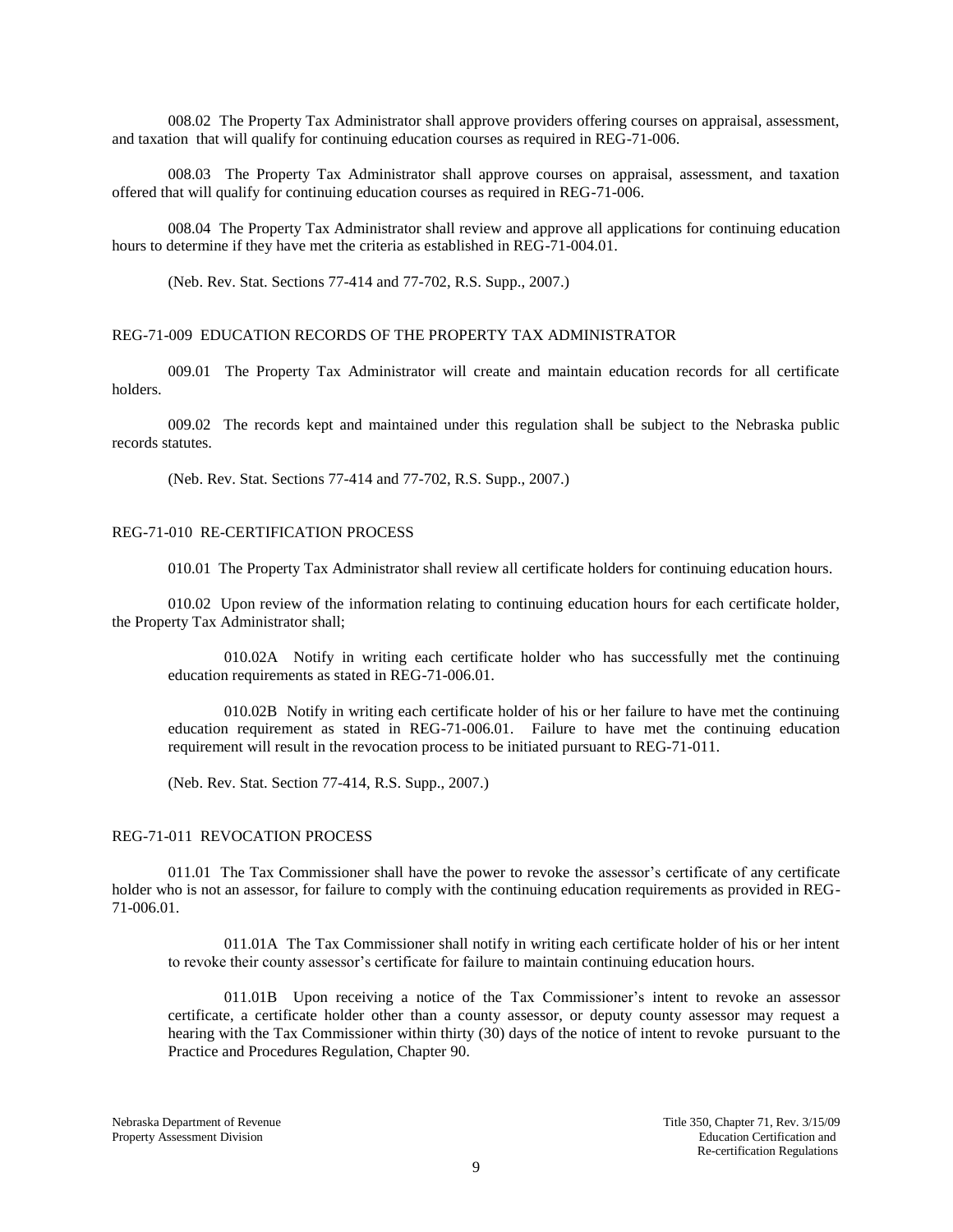008.02 The Property Tax Administrator shall approve providers offering courses on appraisal, assessment, and taxation that will qualify for continuing education courses as required in REG-71-006.

008.03 The Property Tax Administrator shall approve courses on appraisal, assessment, and taxation offered that will qualify for continuing education courses as required in REG-71-006.

008.04 The Property Tax Administrator shall review and approve all applications for continuing education hours to determine if they have met the criteria as established in REG-71-004.01.

(Neb. Rev. Stat. Sections 77-414 and 77-702, R.S. Supp., 2007.)

## REG-71-009 EDUCATION RECORDS OF THE PROPERTY TAX ADMINISTRATOR

009.01 The Property Tax Administrator will create and maintain education records for all certificate holders.

009.02 The records kept and maintained under this regulation shall be subject to the Nebraska public records statutes.

(Neb. Rev. Stat. Sections 77-414 and 77-702, R.S. Supp., 2007.)

#### REG-71-010 RE-CERTIFICATION PROCESS

010.01 The Property Tax Administrator shall review all certificate holders for continuing education hours.

010.02 Upon review of the information relating to continuing education hours for each certificate holder, the Property Tax Administrator shall;

010.02A Notify in writing each certificate holder who has successfully met the continuing education requirements as stated in REG-71-006.01.

010.02B Notify in writing each certificate holder of his or her failure to have met the continuing education requirement as stated in REG-71-006.01. Failure to have met the continuing education requirement will result in the revocation process to be initiated pursuant to REG-71-011.

(Neb. Rev. Stat. Section 77-414, R.S. Supp., 2007.)

#### REG-71-011 REVOCATION PROCESS

011.01 The Tax Commissioner shall have the power to revoke the assessor's certificate of any certificate holder who is not an assessor, for failure to comply with the continuing education requirements as provided in REG-71-006.01.

011.01A The Tax Commissioner shall notify in writing each certificate holder of his or her intent to revoke their county assessor's certificate for failure to maintain continuing education hours.

011.01B Upon receiving a notice of the Tax Commissioner's intent to revoke an assessor certificate, a certificate holder other than a county assessor, or deputy county assessor may request a hearing with the Tax Commissioner within thirty (30) days of the notice of intent to revoke pursuant to the Practice and Procedures Regulation, Chapter 90.